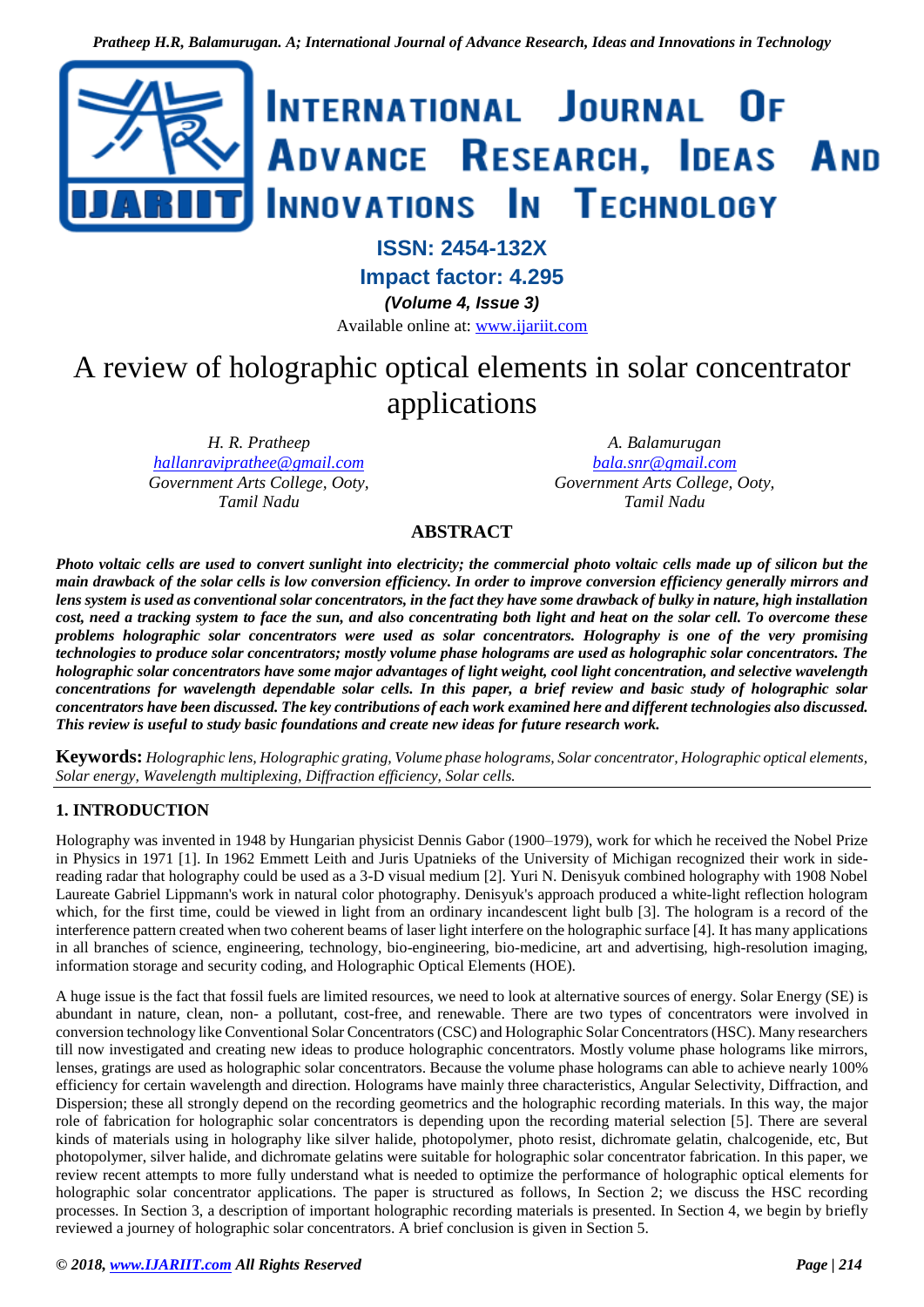

# **ISSN: 2454-132X**

**Impact factor: 4.295**

*(Volume 4, Issue 3)*

Available online at: [www.ijariit.com](https://www.ijariit.com/?utm_source=pdf&utm_medium=edition&utm_campaign=OmAkSols&utm_term=V4I3-1240)

# A review of holographic optical elements in solar concentrator applications

*H. R. Pratheep [hallanraviprathee@gmail.com](mailto:hallanraviprathee@gmail.com) Government Arts College, Ooty, Tamil Nadu*

*A. Balamurugan [bala.snr@gmail.com](mailto:bala.snr@gmail.com) Government Arts College, Ooty, Tamil Nadu*

# **ABSTRACT**

*Photo voltaic cells are used to convert sunlight into electricity; the commercial photo voltaic cells made up of silicon but the main drawback of the solar cells is low conversion efficiency. In order to improve conversion efficiency generally mirrors and lens system is used as conventional solar concentrators, in the fact they have some drawback of bulky in nature, high installation cost, need a tracking system to face the sun, and also concentrating both light and heat on the solar cell. To overcome these problems holographic solar concentrators were used as solar concentrators. Holography is one of the very promising technologies to produce solar concentrators; mostly volume phase holograms are used as holographic solar concentrators. The holographic solar concentrators have some major advantages of light weight, cool light concentration, and selective wavelength concentrations for wavelength dependable solar cells. In this paper, a brief review and basic study of holographic solar concentrators have been discussed. The key contributions of each work examined here and different technologies also discussed. This review is useful to study basic foundations and create new ideas for future research work.*

**Keywords:** *Holographic lens, Holographic grating, Volume phase holograms, Solar concentrator, Holographic optical elements, Solar energy, Wavelength multiplexing, Diffraction efficiency, Solar cells.* 

# **1. INTRODUCTION**

Holography was invented in 1948 by Hungarian physicist Dennis Gabor (1900–1979), work for which he received the Nobel Prize in Physics in 1971 [1]. In 1962 Emmett Leith and Juris Upatnieks of the University of Michigan recognized their work in sidereading radar that holography could be used as a 3-D visual medium [2]. Yuri N. Denisyuk combined holography with 1908 Nobel Laureate Gabriel Lippmann's work in natural color photography. Denisyuk's approach produced a white-light reflection hologram which, for the first time, could be viewed in light from an ordinary incandescent light bulb [3]. The hologram is a record of the interference pattern created when two coherent beams of laser light interfere on the holographic surface [4]. It has many applications in all branches of science, engineering, technology, bio-engineering, bio-medicine, art and advertising, high-resolution imaging, information storage and security coding, and Holographic Optical Elements (HOE).

A huge issue is the fact that fossil fuels are limited resources, we need to look at alternative sources of energy. Solar Energy (SE) is abundant in nature, clean, non- a pollutant, cost-free, and renewable. There are two types of concentrators were involved in conversion technology like Conventional Solar Concentrators (CSC) and Holographic Solar Concentrators (HSC). Many researchers till now investigated and creating new ideas to produce holographic concentrators. Mostly volume phase holograms like mirrors, lenses, gratings are used as holographic solar concentrators. Because the volume phase holograms can able to achieve nearly 100% efficiency for certain wavelength and direction. Holograms have mainly three characteristics, Angular Selectivity, Diffraction, and Dispersion; these all strongly depend on the recording geometrics and the holographic recording materials. In this way, the major role of fabrication for holographic solar concentrators is depending upon the recording material selection [5]. There are several kinds of materials using in holography like silver halide, photopolymer, photo resist, dichromate gelatin, chalcogenide, etc, But photopolymer, silver halide, and dichromate gelatins were suitable for holographic solar concentrator fabrication. In this paper, we review recent attempts to more fully understand what is needed to optimize the performance of holographic optical elements for holographic solar concentrator applications. The paper is structured as follows, In Section 2; we discuss the HSC recording processes. In Section 3, a description of important holographic recording materials is presented. In Section 4, we begin by briefly reviewed a journey of holographic solar concentrators. A brief conclusion is given in Section 5.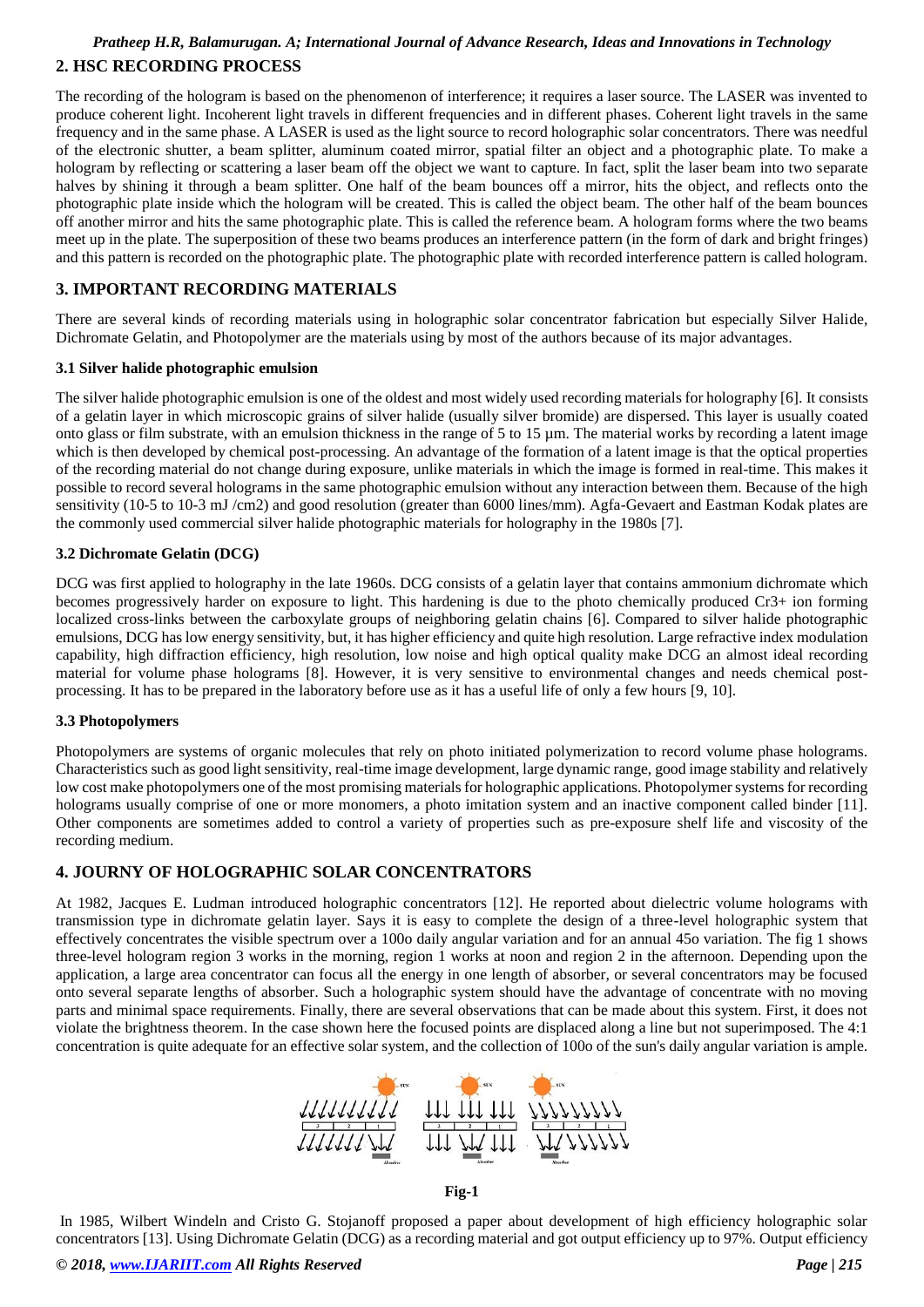# *Pratheep H.R, Balamurugan. A; International Journal of Advance Research, Ideas and Innovations in Technology* **2. HSC RECORDING PROCESS**

The recording of the hologram is based on the phenomenon of interference; it requires a laser source. The LASER was invented to produce coherent light. Incoherent light travels in different frequencies and in different phases. Coherent light travels in the same frequency and in the same phase. A LASER is used as the light source to record holographic solar concentrators. There was needful of the electronic shutter, a beam splitter, aluminum coated mirror, spatial filter an object and a photographic plate. To make a hologram by reflecting or scattering a laser beam off the object we want to capture. In fact, split the laser beam into two separate halves by shining it through a beam splitter. One half of the beam bounces off a mirror, hits the object, and reflects onto the photographic plate inside which the hologram will be created. This is called the object beam. The other half of the beam bounces off another mirror and hits the same photographic plate. This is called the reference beam. A hologram forms where the two beams meet up in the plate. The superposition of these two beams produces an interference pattern (in the form of dark and bright fringes) and this pattern is recorded on the photographic plate. The photographic plate with recorded interference pattern is called hologram.

# **3. IMPORTANT RECORDING MATERIALS**

There are several kinds of recording materials using in holographic solar concentrator fabrication but especially Silver Halide, Dichromate Gelatin, and Photopolymer are the materials using by most of the authors because of its major advantages.

# **3.1 Silver halide photographic emulsion**

The silver halide photographic emulsion is one of the oldest and most widely used recording materials for holography [6]. It consists of a gelatin layer in which microscopic grains of silver halide (usually silver bromide) are dispersed. This layer is usually coated onto glass or film substrate, with an emulsion thickness in the range of 5 to 15 µm. The material works by recording a latent image which is then developed by chemical post-processing. An advantage of the formation of a latent image is that the optical properties of the recording material do not change during exposure, unlike materials in which the image is formed in real-time. This makes it possible to record several holograms in the same photographic emulsion without any interaction between them. Because of the high sensitivity (10-5 to 10-3 mJ /cm2) and good resolution (greater than 6000 lines/mm). Agfa-Gevaert and Eastman Kodak plates are the commonly used commercial silver halide photographic materials for holography in the 1980s [7].

# **3.2 Dichromate Gelatin (DCG)**

DCG was first applied to holography in the late 1960s. DCG consists of a gelatin layer that contains ammonium dichromate which becomes progressively harder on exposure to light. This hardening is due to the photo chemically produced Cr3+ ion forming localized cross-links between the carboxylate groups of neighboring gelatin chains [6]. Compared to silver halide photographic emulsions, DCG has low energy sensitivity, but, it has higher efficiency and quite high resolution. Large refractive index modulation capability, high diffraction efficiency, high resolution, low noise and high optical quality make DCG an almost ideal recording material for volume phase holograms [8]. However, it is very sensitive to environmental changes and needs chemical postprocessing. It has to be prepared in the laboratory before use as it has a useful life of only a few hours [9, 10].

## **3.3 Photopolymers**

Photopolymers are systems of organic molecules that rely on photo initiated polymerization to record volume phase holograms. Characteristics such as good light sensitivity, real-time image development, large dynamic range, good image stability and relatively low cost make photopolymers one of the most promising materials for holographic applications. Photopolymer systems for recording holograms usually comprise of one or more monomers, a photo imitation system and an inactive component called binder [11]. Other components are sometimes added to control a variety of properties such as pre-exposure shelf life and viscosity of the recording medium.

# **4. JOURNY OF HOLOGRAPHIC SOLAR CONCENTRATORS**

At 1982, Jacques E. Ludman introduced holographic concentrators [12]. He reported about dielectric volume holograms with transmission type in dichromate gelatin layer. Says it is easy to complete the design of a three-level holographic system that effectively concentrates the visible spectrum over a 100o daily angular variation and for an annual 45o variation. The fig 1 shows three-level hologram region 3 works in the morning, region 1 works at noon and region 2 in the afternoon. Depending upon the application, a large area concentrator can focus all the energy in one length of absorber, or several concentrators may be focused onto several separate lengths of absorber. Such a holographic system should have the advantage of concentrate with no moving parts and minimal space requirements. Finally, there are several observations that can be made about this system. First, it does not violate the brightness theorem. In the case shown here the focused points are displaced along a line but not superimposed. The 4:1 concentration is quite adequate for an effective solar system, and the collection of 100o of the sun's daily angular variation is ample.



**Fig-1** 

In 1985, Wilbert Windeln and Cristo G. Stojanoff proposed a paper about development of high efficiency holographic solar concentrators [13]. Using Dichromate Gelatin (DCG) as a recording material and got output efficiency up to 97%. Output efficiency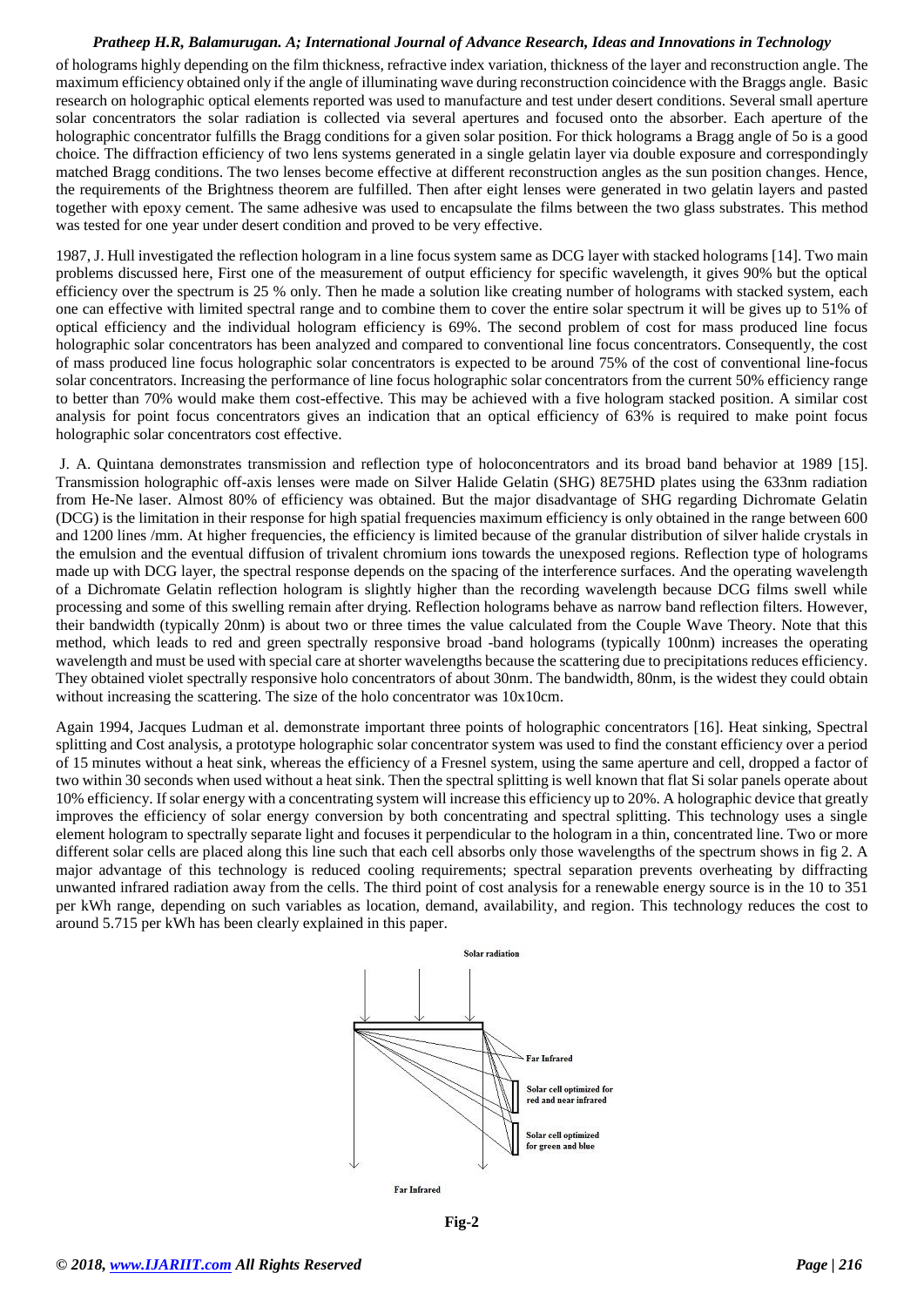of holograms highly depending on the film thickness, refractive index variation, thickness of the layer and reconstruction angle. The maximum efficiency obtained only if the angle of illuminating wave during reconstruction coincidence with the Braggs angle. Basic research on holographic optical elements reported was used to manufacture and test under desert conditions. Several small aperture solar concentrators the solar radiation is collected via several apertures and focused onto the absorber. Each aperture of the holographic concentrator fulfills the Bragg conditions for a given solar position. For thick holograms a Bragg angle of 5o is a good choice. The diffraction efficiency of two lens systems generated in a single gelatin layer via double exposure and correspondingly matched Bragg conditions. The two lenses become effective at different reconstruction angles as the sun position changes. Hence, the requirements of the Brightness theorem are fulfilled. Then after eight lenses were generated in two gelatin layers and pasted together with epoxy cement. The same adhesive was used to encapsulate the films between the two glass substrates. This method was tested for one year under desert condition and proved to be very effective.

1987, J. Hull investigated the reflection hologram in a line focus system same as DCG layer with stacked holograms [14]. Two main problems discussed here, First one of the measurement of output efficiency for specific wavelength, it gives 90% but the optical efficiency over the spectrum is 25 % only. Then he made a solution like creating number of holograms with stacked system, each one can effective with limited spectral range and to combine them to cover the entire solar spectrum it will be gives up to 51% of optical efficiency and the individual hologram efficiency is 69%. The second problem of cost for mass produced line focus holographic solar concentrators has been analyzed and compared to conventional line focus concentrators. Consequently, the cost of mass produced line focus holographic solar concentrators is expected to be around 75% of the cost of conventional line-focus solar concentrators. Increasing the performance of line focus holographic solar concentrators from the current 50% efficiency range to better than 70% would make them cost-effective. This may be achieved with a five hologram stacked position. A similar cost analysis for point focus concentrators gives an indication that an optical efficiency of 63% is required to make point focus holographic solar concentrators cost effective.

J. A. Quintana demonstrates transmission and reflection type of holoconcentrators and its broad band behavior at 1989 [15]. Transmission holographic off-axis lenses were made on Silver Halide Gelatin (SHG) 8E75HD plates using the 633nm radiation from He-Ne laser. Almost 80% of efficiency was obtained. But the major disadvantage of SHG regarding Dichromate Gelatin (DCG) is the limitation in their response for high spatial frequencies maximum efficiency is only obtained in the range between 600 and 1200 lines /mm. At higher frequencies, the efficiency is limited because of the granular distribution of silver halide crystals in the emulsion and the eventual diffusion of trivalent chromium ions towards the unexposed regions. Reflection type of holograms made up with DCG layer, the spectral response depends on the spacing of the interference surfaces. And the operating wavelength of a Dichromate Gelatin reflection hologram is slightly higher than the recording wavelength because DCG films swell while processing and some of this swelling remain after drying. Reflection holograms behave as narrow band reflection filters. However, their bandwidth (typically 20nm) is about two or three times the value calculated from the Couple Wave Theory. Note that this method, which leads to red and green spectrally responsive broad -band holograms (typically 100nm) increases the operating wavelength and must be used with special care at shorter wavelengths because the scattering due to precipitations reduces efficiency. They obtained violet spectrally responsive holo concentrators of about 30nm. The bandwidth, 80nm, is the widest they could obtain without increasing the scattering. The size of the holo concentrator was  $10x10cm$ .

Again 1994, Jacques Ludman et al. demonstrate important three points of holographic concentrators [16]. Heat sinking, Spectral splitting and Cost analysis, a prototype holographic solar concentrator system was used to find the constant efficiency over a period of 15 minutes without a heat sink, whereas the efficiency of a Fresnel system, using the same aperture and cell, dropped a factor of two within 30 seconds when used without a heat sink. Then the spectral splitting is well known that flat Si solar panels operate about 10% efficiency. If solar energy with a concentrating system will increase this efficiency up to 20%. A holographic device that greatly improves the efficiency of solar energy conversion by both concentrating and spectral splitting. This technology uses a single element hologram to spectrally separate light and focuses it perpendicular to the hologram in a thin, concentrated line. Two or more different solar cells are placed along this line such that each cell absorbs only those wavelengths of the spectrum shows in fig 2. A major advantage of this technology is reduced cooling requirements; spectral separation prevents overheating by diffracting unwanted infrared radiation away from the cells. The third point of cost analysis for a renewable energy source is in the 10 to 351 per kWh range, depending on such variables as location, demand, availability, and region. This technology reduces the cost to around 5.715 per kWh has been clearly explained in this paper.



**Fig-2**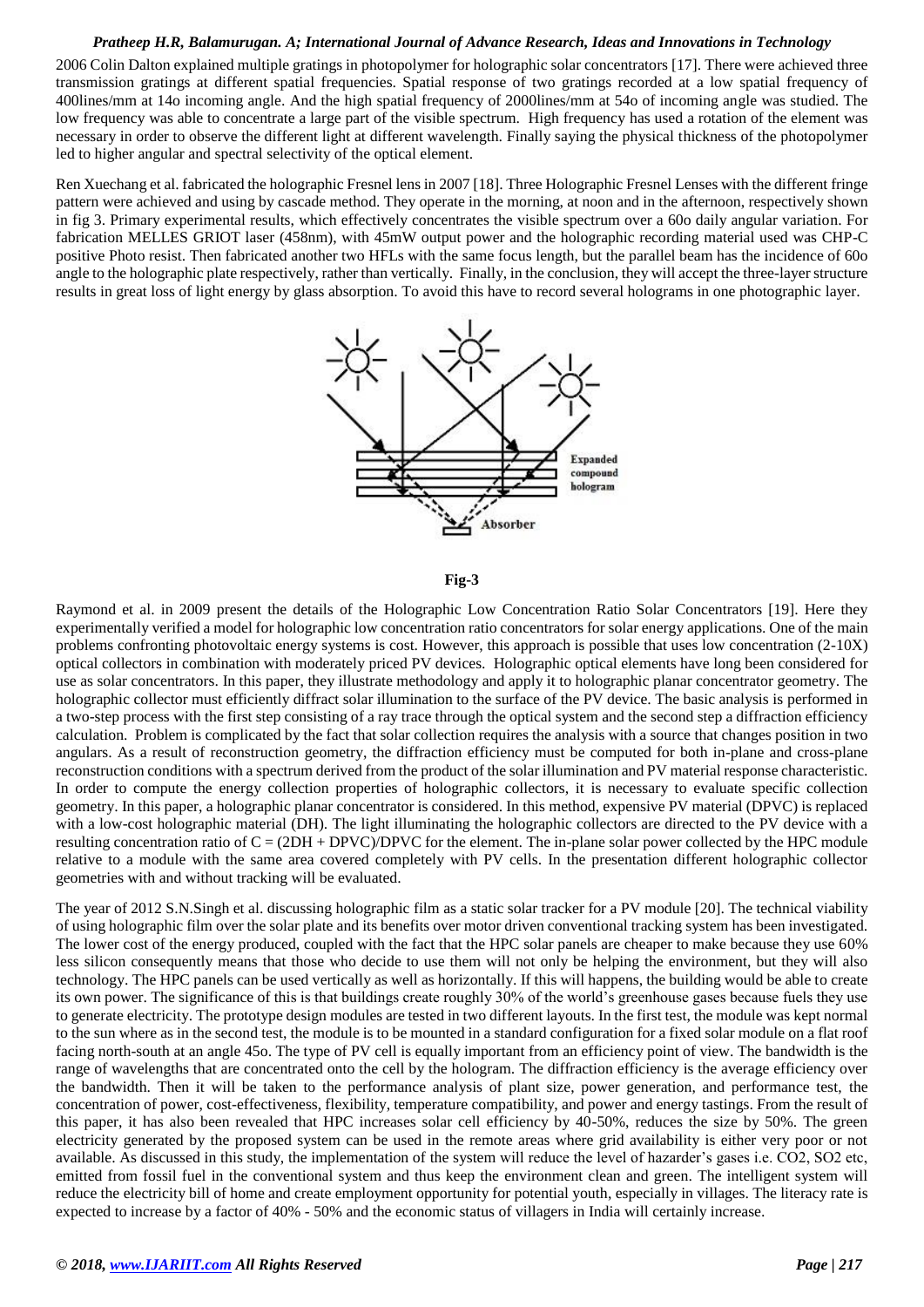2006 Colin Dalton explained multiple gratings in photopolymer for holographic solar concentrators [17]. There were achieved three transmission gratings at different spatial frequencies. Spatial response of two gratings recorded at a low spatial frequency of 400lines/mm at 14o incoming angle. And the high spatial frequency of 2000lines/mm at 54o of incoming angle was studied. The low frequency was able to concentrate a large part of the visible spectrum. High frequency has used a rotation of the element was necessary in order to observe the different light at different wavelength. Finally saying the physical thickness of the photopolymer led to higher angular and spectral selectivity of the optical element.

Ren Xuechang et al. fabricated the holographic Fresnel lens in 2007 [18]. Three Holographic Fresnel Lenses with the different fringe pattern were achieved and using by cascade method. They operate in the morning, at noon and in the afternoon, respectively shown in fig 3. Primary experimental results, which effectively concentrates the visible spectrum over a 60o daily angular variation. For fabrication MELLES GRIOT laser (458nm), with 45mW output power and the holographic recording material used was CHP-C positive Photo resist. Then fabricated another two HFLs with the same focus length, but the parallel beam has the incidence of 60o angle to the holographic plate respectively, rather than vertically. Finally, in the conclusion, they will accept the three-layer structure results in great loss of light energy by glass absorption. To avoid this have to record several holograms in one photographic layer.



#### **Fig-3**

Raymond et al. in 2009 present the details of the Holographic Low Concentration Ratio Solar Concentrators [19]. Here they experimentally verified a model for holographic low concentration ratio concentrators for solar energy applications. One of the main problems confronting photovoltaic energy systems is cost. However, this approach is possible that uses low concentration (2-10X) optical collectors in combination with moderately priced PV devices. Holographic optical elements have long been considered for use as solar concentrators. In this paper, they illustrate methodology and apply it to holographic planar concentrator geometry. The holographic collector must efficiently diffract solar illumination to the surface of the PV device. The basic analysis is performed in a two-step process with the first step consisting of a ray trace through the optical system and the second step a diffraction efficiency calculation. Problem is complicated by the fact that solar collection requires the analysis with a source that changes position in two angulars. As a result of reconstruction geometry, the diffraction efficiency must be computed for both in-plane and cross-plane reconstruction conditions with a spectrum derived from the product of the solar illumination and PV material response characteristic. In order to compute the energy collection properties of holographic collectors, it is necessary to evaluate specific collection geometry. In this paper, a holographic planar concentrator is considered. In this method, expensive PV material (DPVC) is replaced with a low-cost holographic material (DH). The light illuminating the holographic collectors are directed to the PV device with a resulting concentration ratio of  $C = (2DH + DPVC)/DPVC$  for the element. The in-plane solar power collected by the HPC module relative to a module with the same area covered completely with PV cells. In the presentation different holographic collector geometries with and without tracking will be evaluated.

The year of 2012 S.N.Singh et al. discussing holographic film as a static solar tracker for a PV module [20]. The technical viability of using holographic film over the solar plate and its benefits over motor driven conventional tracking system has been investigated. The lower cost of the energy produced, coupled with the fact that the HPC solar panels are cheaper to make because they use 60% less silicon consequently means that those who decide to use them will not only be helping the environment, but they will also technology. The HPC panels can be used vertically as well as horizontally. If this will happens, the building would be able to create its own power. The significance of this is that buildings create roughly 30% of the world's greenhouse gases because fuels they use to generate electricity. The prototype design modules are tested in two different layouts. In the first test, the module was kept normal to the sun where as in the second test, the module is to be mounted in a standard configuration for a fixed solar module on a flat roof facing north-south at an angle 45o. The type of PV cell is equally important from an efficiency point of view. The bandwidth is the range of wavelengths that are concentrated onto the cell by the hologram. The diffraction efficiency is the average efficiency over the bandwidth. Then it will be taken to the performance analysis of plant size, power generation, and performance test, the concentration of power, cost-effectiveness, flexibility, temperature compatibility, and power and energy tastings. From the result of this paper, it has also been revealed that HPC increases solar cell efficiency by 40-50%, reduces the size by 50%. The green electricity generated by the proposed system can be used in the remote areas where grid availability is either very poor or not available. As discussed in this study, the implementation of the system will reduce the level of hazarder's gases i.e. CO2, SO2 etc, emitted from fossil fuel in the conventional system and thus keep the environment clean and green. The intelligent system will reduce the electricity bill of home and create employment opportunity for potential youth, especially in villages. The literacy rate is expected to increase by a factor of 40% - 50% and the economic status of villagers in India will certainly increase.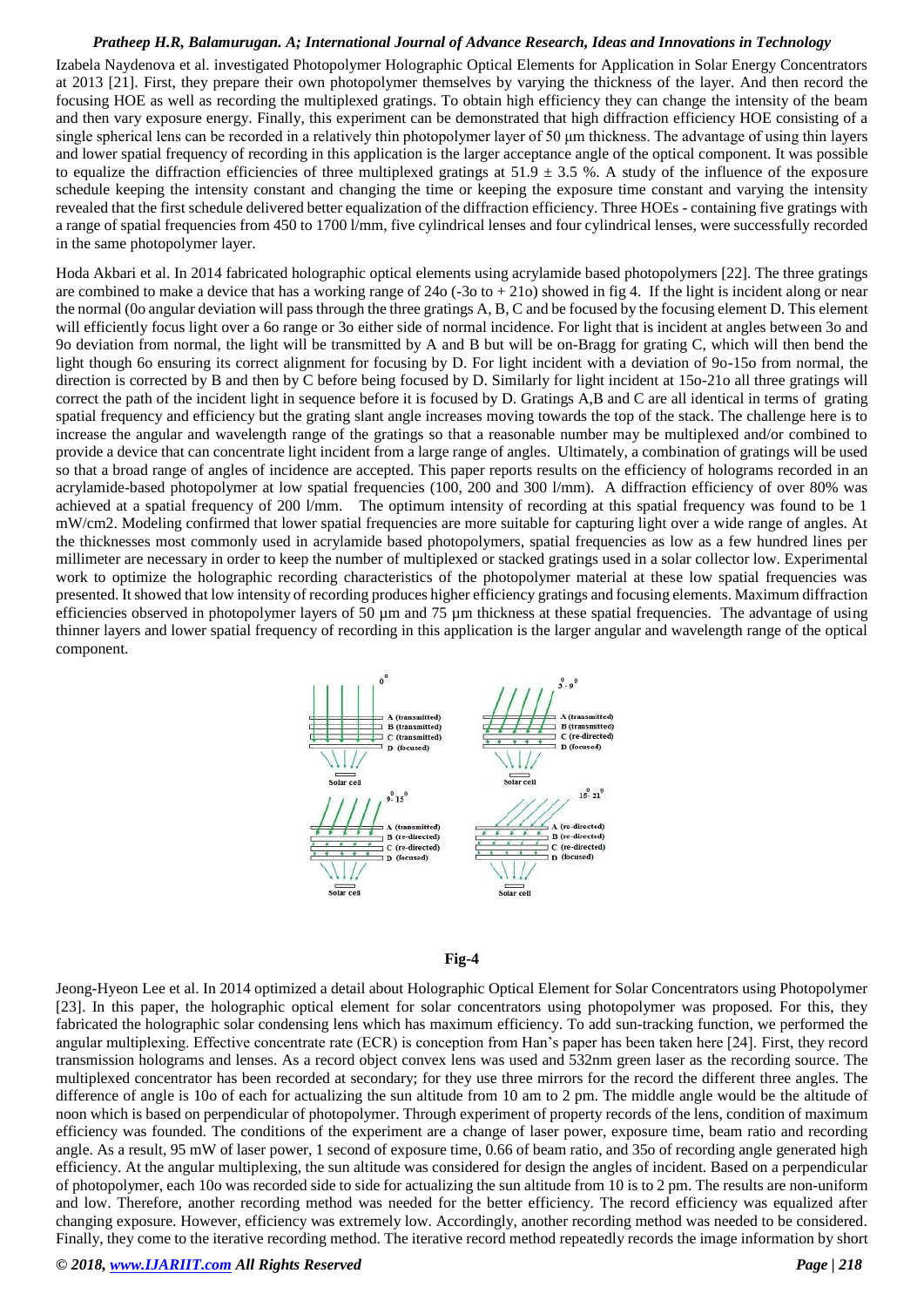Izabela Naydenova et al. investigated Photopolymer Holographic Optical Elements for Application in Solar Energy Concentrators at 2013 [21]. First, they prepare their own photopolymer themselves by varying the thickness of the layer. And then record the focusing HOE as well as recording the multiplexed gratings. To obtain high efficiency they can change the intensity of the beam and then vary exposure energy. Finally, this experiment can be demonstrated that high diffraction efficiency HOE consisting of a single spherical lens can be recorded in a relatively thin photopolymer layer of 50 μm thickness. The advantage of using thin layers and lower spatial frequency of recording in this application is the larger acceptance angle of the optical component. It was possible to equalize the diffraction efficiencies of three multiplexed gratings at  $51.9 \pm 3.5$  %. A study of the influence of the exposure schedule keeping the intensity constant and changing the time or keeping the exposure time constant and varying the intensity revealed that the first schedule delivered better equalization of the diffraction efficiency. Three HOEs - containing five gratings with a range of spatial frequencies from 450 to 1700 l/mm, five cylindrical lenses and four cylindrical lenses, were successfully recorded in the same photopolymer layer.

Hoda Akbari et al. In 2014 fabricated holographic optical elements using acrylamide based photopolymers [22]. The three gratings are combined to make a device that has a working range of  $24\sigma$  (-3o to + 21o) showed in fig 4. If the light is incident along or near the normal (0o angular deviation will pass through the three gratings A, B, C and be focused by the focusing element D. This element will efficiently focus light over a 6o range or 3o either side of normal incidence. For light that is incident at angles between 3o and 9o deviation from normal, the light will be transmitted by A and B but will be on-Bragg for grating C, which will then bend the light though 6o ensuring its correct alignment for focusing by D. For light incident with a deviation of 9o-15o from normal, the direction is corrected by B and then by C before being focused by D. Similarly for light incident at 15o-21o all three gratings will correct the path of the incident light in sequence before it is focused by D. Gratings A,B and C are all identical in terms of grating spatial frequency and efficiency but the grating slant angle increases moving towards the top of the stack. The challenge here is to increase the angular and wavelength range of the gratings so that a reasonable number may be multiplexed and/or combined to provide a device that can concentrate light incident from a large range of angles. Ultimately, a combination of gratings will be used so that a broad range of angles of incidence are accepted. This paper reports results on the efficiency of holograms recorded in an acrylamide-based photopolymer at low spatial frequencies (100, 200 and 300 l/mm). A diffraction efficiency of over 80% was achieved at a spatial frequency of 200 l/mm. The optimum intensity of recording at this spatial frequency was found to be 1 mW/cm2. Modeling confirmed that lower spatial frequencies are more suitable for capturing light over a wide range of angles. At the thicknesses most commonly used in acrylamide based photopolymers, spatial frequencies as low as a few hundred lines per millimeter are necessary in order to keep the number of multiplexed or stacked gratings used in a solar collector low. Experimental work to optimize the holographic recording characteristics of the photopolymer material at these low spatial frequencies was presented. It showed that low intensity of recording produces higher efficiency gratings and focusing elements. Maximum diffraction efficiencies observed in photopolymer layers of 50 µm and 75 µm thickness at these spatial frequencies. The advantage of using thinner layers and lower spatial frequency of recording in this application is the larger angular and wavelength range of the optical component.



#### **Fig-4**

Jeong-Hyeon Lee et al. In 2014 optimized a detail about Holographic Optical Element for Solar Concentrators using Photopolymer [23]. In this paper, the holographic optical element for solar concentrators using photopolymer was proposed. For this, they fabricated the holographic solar condensing lens which has maximum efficiency. To add sun-tracking function, we performed the angular multiplexing. Effective concentrate rate (ECR) is conception from Han's paper has been taken here [24]. First, they record transmission holograms and lenses. As a record object convex lens was used and 532nm green laser as the recording source. The multiplexed concentrator has been recorded at secondary; for they use three mirrors for the record the different three angles. The difference of angle is 10o of each for actualizing the sun altitude from 10 am to 2 pm. The middle angle would be the altitude of noon which is based on perpendicular of photopolymer. Through experiment of property records of the lens, condition of maximum efficiency was founded. The conditions of the experiment are a change of laser power, exposure time, beam ratio and recording angle. As a result, 95 mW of laser power, 1 second of exposure time, 0.66 of beam ratio, and 35o of recording angle generated high efficiency. At the angular multiplexing, the sun altitude was considered for design the angles of incident. Based on a perpendicular of photopolymer, each 10o was recorded side to side for actualizing the sun altitude from 10 is to 2 pm. The results are non-uniform and low. Therefore, another recording method was needed for the better efficiency. The record efficiency was equalized after changing exposure. However, efficiency was extremely low. Accordingly, another recording method was needed to be considered. Finally, they come to the iterative recording method. The iterative record method repeatedly records the image information by short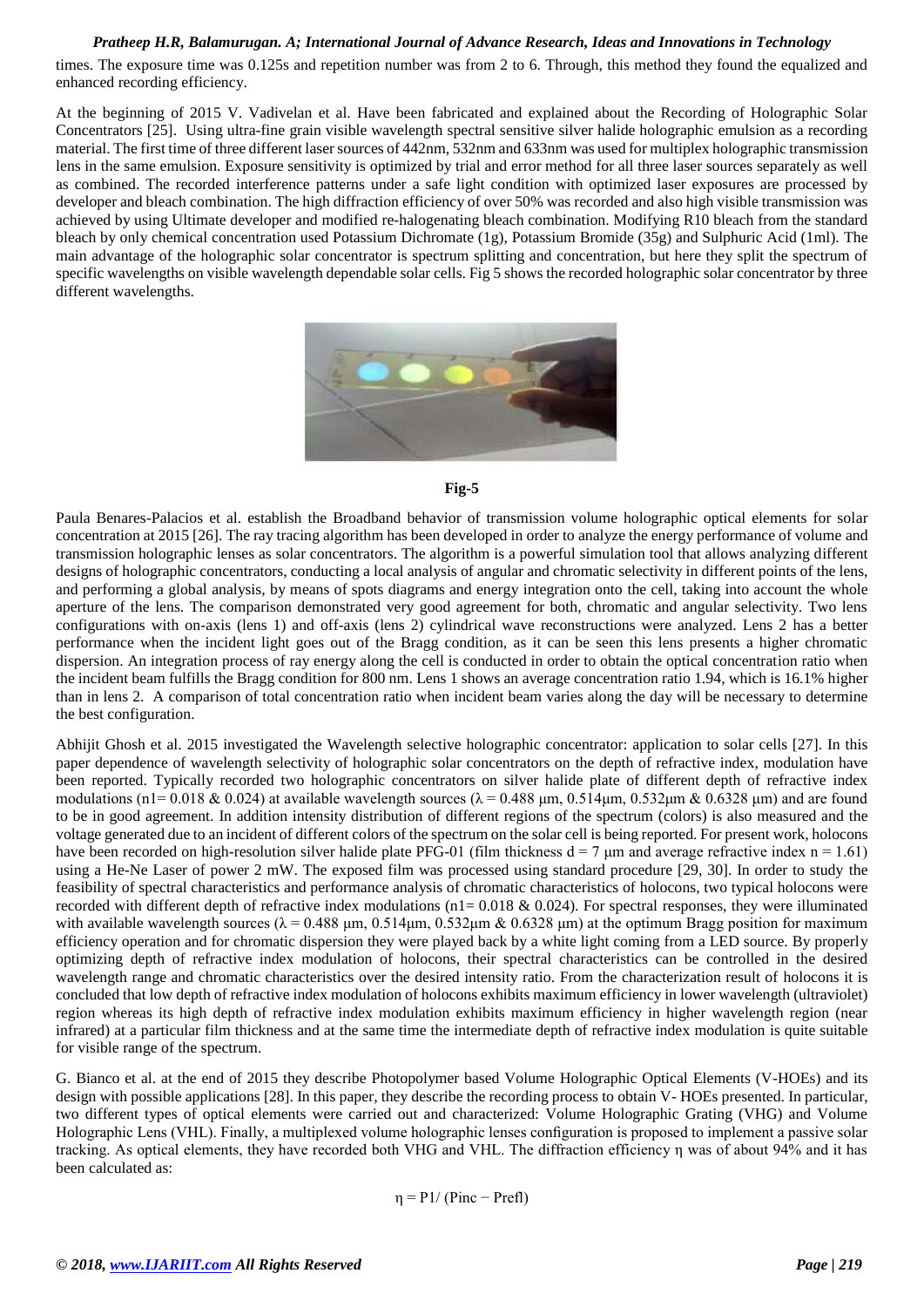times. The exposure time was 0.125s and repetition number was from 2 to 6. Through, this method they found the equalized and enhanced recording efficiency.

At the beginning of 2015 V. Vadivelan et al. Have been fabricated and explained about the Recording of Holographic Solar Concentrators [25]. Using ultra-fine grain visible wavelength spectral sensitive silver halide holographic emulsion as a recording material. The first time of three different laser sources of 442nm, 532nm and 633nm was used for multiplex holographic transmission lens in the same emulsion. Exposure sensitivity is optimized by trial and error method for all three laser sources separately as well as combined. The recorded interference patterns under a safe light condition with optimized laser exposures are processed by developer and bleach combination. The high diffraction efficiency of over 50% was recorded and also high visible transmission was achieved by using Ultimate developer and modified re-halogenating bleach combination. Modifying R10 bleach from the standard bleach by only chemical concentration used Potassium Dichromate (1g), Potassium Bromide (35g) and Sulphuric Acid (1ml). The main advantage of the holographic solar concentrator is spectrum splitting and concentration, but here they split the spectrum of specific wavelengths on visible wavelength dependable solar cells. Fig 5 shows the recorded holographic solar concentrator by three different wavelengths.





Paula Benares-Palacios et al. establish the Broadband behavior of transmission volume holographic optical elements for solar concentration at 2015 [26]. The ray tracing algorithm has been developed in order to analyze the energy performance of volume and transmission holographic lenses as solar concentrators. The algorithm is a powerful simulation tool that allows analyzing different designs of holographic concentrators, conducting a local analysis of angular and chromatic selectivity in different points of the lens, and performing a global analysis, by means of spots diagrams and energy integration onto the cell, taking into account the whole aperture of the lens. The comparison demonstrated very good agreement for both, chromatic and angular selectivity. Two lens configurations with on-axis (lens 1) and off-axis (lens 2) cylindrical wave reconstructions were analyzed. Lens 2 has a better performance when the incident light goes out of the Bragg condition, as it can be seen this lens presents a higher chromatic dispersion. An integration process of ray energy along the cell is conducted in order to obtain the optical concentration ratio when the incident beam fulfills the Bragg condition for 800 nm. Lens 1 shows an average concentration ratio 1.94, which is 16.1% higher than in lens 2. A comparison of total concentration ratio when incident beam varies along the day will be necessary to determine the best configuration.

Abhijit Ghosh et al. 2015 investigated the Wavelength selective holographic concentrator: application to solar cells [27]. In this paper dependence of wavelength selectivity of holographic solar concentrators on the depth of refractive index, modulation have been reported. Typically recorded two holographic concentrators on silver halide plate of different depth of refractive index modulations (n1= 0.018 & 0.024) at available wavelength sources (λ = 0.488 μm, 0.514μm, 0.532μm & 0.6328 μm) and are found to be in good agreement. In addition intensity distribution of different regions of the spectrum (colors) is also measured and the voltage generated due to an incident of different colors of the spectrum on the solar cell is being reported. For present work, holocons have been recorded on high-resolution silver halide plate PFG-01 (film thickness  $d = 7 \mu m$  and average refractive index  $n = 1.61$ ) using a He-Ne Laser of power 2 mW. The exposed film was processed using standard procedure [29, 30]. In order to study the feasibility of spectral characteristics and performance analysis of chromatic characteristics of holocons, two typical holocons were recorded with different depth of refractive index modulations ( $n1 = 0.018 \& 0.024$ ). For spectral responses, they were illuminated with available wavelength sources ( $\lambda = 0.488$  μm,  $0.514$ μm,  $0.532$ μm &  $0.6328$  μm) at the optimum Bragg position for maximum efficiency operation and for chromatic dispersion they were played back by a white light coming from a LED source. By properly optimizing depth of refractive index modulation of holocons, their spectral characteristics can be controlled in the desired wavelength range and chromatic characteristics over the desired intensity ratio. From the characterization result of holocons it is concluded that low depth of refractive index modulation of holocons exhibits maximum efficiency in lower wavelength (ultraviolet) region whereas its high depth of refractive index modulation exhibits maximum efficiency in higher wavelength region (near infrared) at a particular film thickness and at the same time the intermediate depth of refractive index modulation is quite suitable for visible range of the spectrum.

G. Bianco et al. at the end of 2015 they describe Photopolymer based Volume Holographic Optical Elements (V-HOEs) and its design with possible applications [28]. In this paper, they describe the recording process to obtain V- HOEs presented. In particular, two different types of optical elements were carried out and characterized: Volume Holographic Grating (VHG) and Volume Holographic Lens (VHL). Finally, a multiplexed volume holographic lenses configuration is proposed to implement a passive solar tracking. As optical elements, they have recorded both VHG and VHL. The diffraction efficiency η was of about 94% and it has been calculated as:

$$
\eta = P1/(Pinc - Prefl)
$$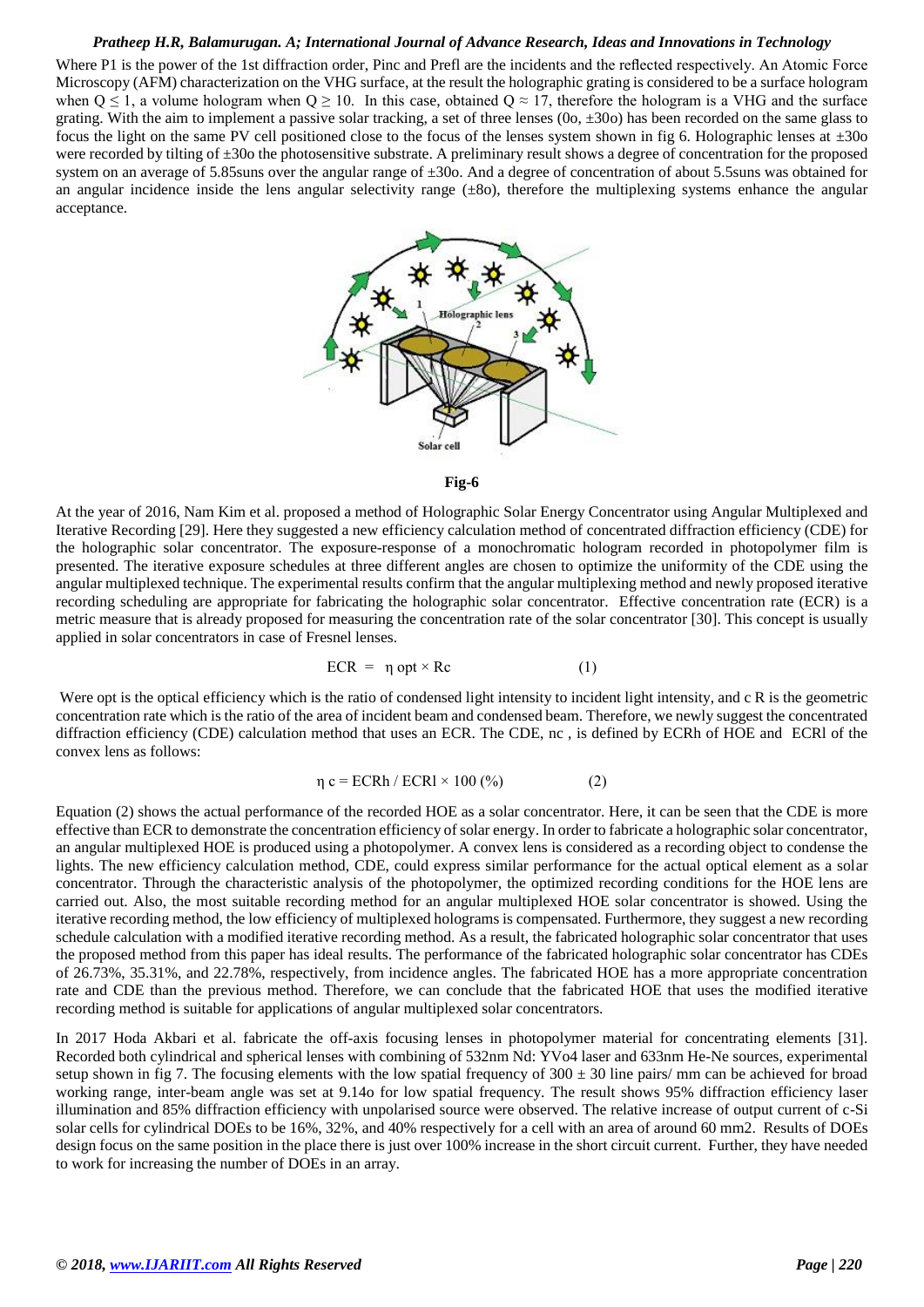Where P1 is the power of the 1st diffraction order, Pinc and Prefl are the incidents and the reflected respectively. An Atomic Force Microscopy (AFM) characterization on the VHG surface, at the result the holographic grating is considered to be a surface hologram when  $Q \le 1$ , a volume hologram when  $Q \ge 10$ . In this case, obtained  $Q \approx 17$ , therefore the hologram is a VHG and the surface grating. With the aim to implement a passive solar tracking, a set of three lenses  $(0\sigma, \pm 30\sigma)$  has been recorded on the same glass to focus the light on the same PV cell positioned close to the focus of the lenses system shown in fig 6. Holographic lenses at ±30o were recorded by tilting of ±30o the photosensitive substrate. A preliminary result shows a degree of concentration for the proposed system on an average of 5.85suns over the angular range of ±30o. And a degree of concentration of about 5.5suns was obtained for an angular incidence inside the lens angular selectivity range  $(\pm 8$ o), therefore the multiplexing systems enhance the angular acceptance.





At the year of 2016, Nam Kim et al. proposed a method of Holographic Solar Energy Concentrator using Angular Multiplexed and Iterative Recording [29]. Here they suggested a new efficiency calculation method of concentrated diffraction efficiency (CDE) for the holographic solar concentrator. The exposure-response of a monochromatic hologram recorded in photopolymer film is presented. The iterative exposure schedules at three different angles are chosen to optimize the uniformity of the CDE using the angular multiplexed technique. The experimental results confirm that the angular multiplexing method and newly proposed iterative recording scheduling are appropriate for fabricating the holographic solar concentrator. Effective concentration rate (ECR) is a metric measure that is already proposed for measuring the concentration rate of the solar concentrator [30]. This concept is usually applied in solar concentrators in case of Fresnel lenses.

$$
ECR = \eta \text{ opt} \times \text{Rc} \tag{1}
$$

Were opt is the optical efficiency which is the ratio of condensed light intensity to incident light intensity, and c R is the geometric concentration rate which is the ratio of the area of incident beam and condensed beam. Therefore, we newly suggest the concentrated diffraction efficiency (CDE) calculation method that uses an ECR. The CDE, nc , is defined by ECRh of HOE and ECRl of the convex lens as follows:

$$
\eta c = ECRh / ECRl \times 100\,(%) \tag{2}
$$

Equation (2) shows the actual performance of the recorded HOE as a solar concentrator. Here, it can be seen that the CDE is more effective than ECR to demonstrate the concentration efficiency of solar energy. In order to fabricate a holographic solar concentrator, an angular multiplexed HOE is produced using a photopolymer. A convex lens is considered as a recording object to condense the lights. The new efficiency calculation method, CDE, could express similar performance for the actual optical element as a solar concentrator. Through the characteristic analysis of the photopolymer, the optimized recording conditions for the HOE lens are carried out. Also, the most suitable recording method for an angular multiplexed HOE solar concentrator is showed. Using the iterative recording method, the low efficiency of multiplexed holograms is compensated. Furthermore, they suggest a new recording schedule calculation with a modified iterative recording method. As a result, the fabricated holographic solar concentrator that uses the proposed method from this paper has ideal results. The performance of the fabricated holographic solar concentrator has CDEs of 26.73%, 35.31%, and 22.78%, respectively, from incidence angles. The fabricated HOE has a more appropriate concentration rate and CDE than the previous method. Therefore, we can conclude that the fabricated HOE that uses the modified iterative recording method is suitable for applications of angular multiplexed solar concentrators.

In 2017 Hoda Akbari et al. fabricate the off-axis focusing lenses in photopolymer material for concentrating elements [31]. Recorded both cylindrical and spherical lenses with combining of 532nm Nd: YVo4 laser and 633nm He-Ne sources, experimental setup shown in fig 7. The focusing elements with the low spatial frequency of  $300 \pm 30$  line pairs/ mm can be achieved for broad working range, inter-beam angle was set at 9.14o for low spatial frequency. The result shows 95% diffraction efficiency laser illumination and 85% diffraction efficiency with unpolarised source were observed. The relative increase of output current of c-Si solar cells for cylindrical DOEs to be 16%, 32%, and 40% respectively for a cell with an area of around 60 mm2. Results of DOEs design focus on the same position in the place there is just over 100% increase in the short circuit current. Further, they have needed to work for increasing the number of DOEs in an array.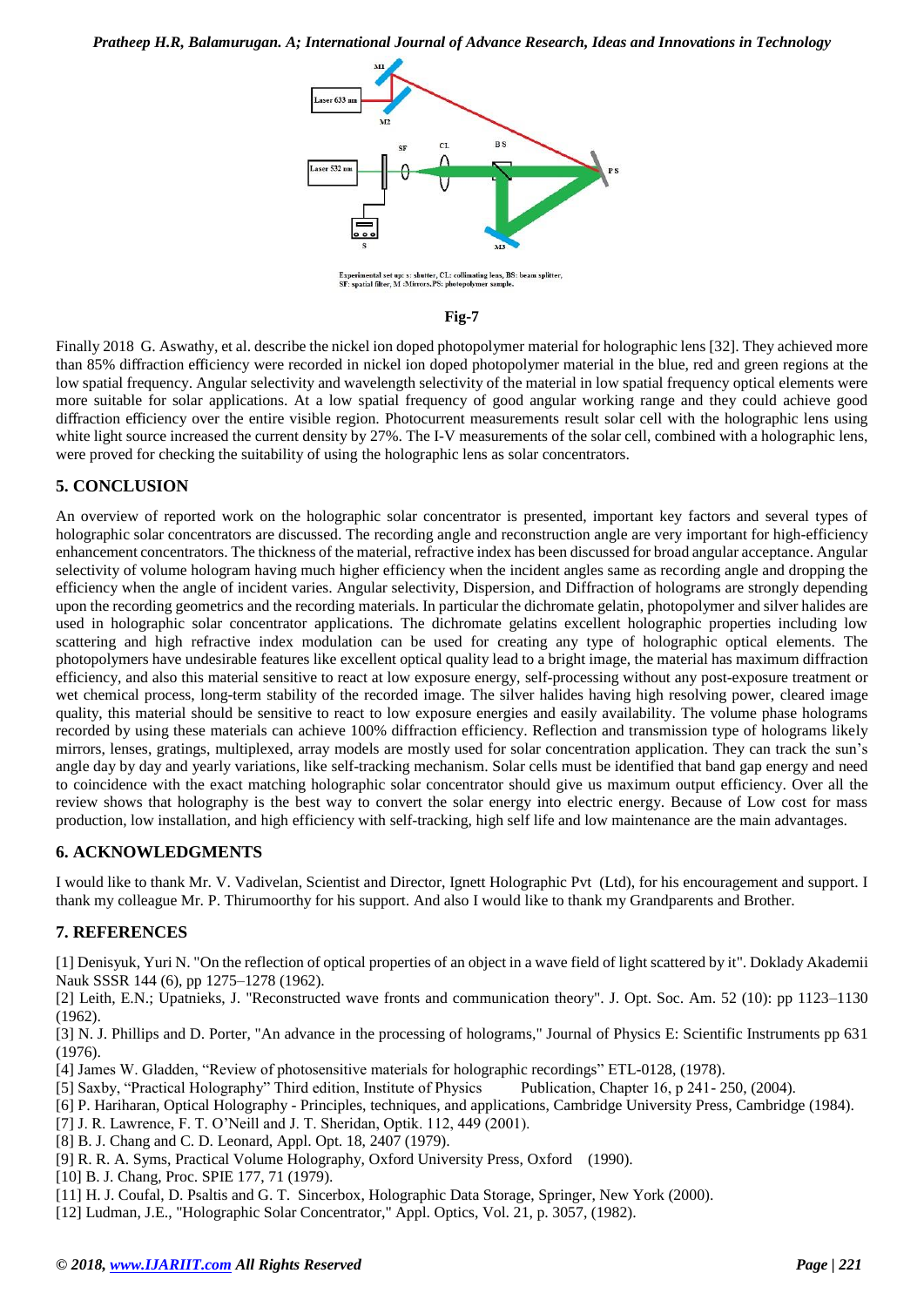

#### **Fig-7**

Finally 2018 G. Aswathy, et al. describe the nickel ion doped photopolymer material for holographic lens [32]. They achieved more than 85% diffraction efficiency were recorded in nickel ion doped photopolymer material in the blue, red and green regions at the low spatial frequency. Angular selectivity and wavelength selectivity of the material in low spatial frequency optical elements were more suitable for solar applications. At a low spatial frequency of good angular working range and they could achieve good diffraction efficiency over the entire visible region. Photocurrent measurements result solar cell with the holographic lens using white light source increased the current density by 27%. The I-V measurements of the solar cell, combined with a holographic lens, were proved for checking the suitability of using the holographic lens as solar concentrators.

## **5. CONCLUSION**

An overview of reported work on the holographic solar concentrator is presented, important key factors and several types of holographic solar concentrators are discussed. The recording angle and reconstruction angle are very important for high-efficiency enhancement concentrators. The thickness of the material, refractive index has been discussed for broad angular acceptance. Angular selectivity of volume hologram having much higher efficiency when the incident angles same as recording angle and dropping the efficiency when the angle of incident varies. Angular selectivity, Dispersion, and Diffraction of holograms are strongly depending upon the recording geometrics and the recording materials. In particular the dichromate gelatin, photopolymer and silver halides are used in holographic solar concentrator applications. The dichromate gelatins excellent holographic properties including low scattering and high refractive index modulation can be used for creating any type of holographic optical elements. The photopolymers have undesirable features like excellent optical quality lead to a bright image, the material has maximum diffraction efficiency, and also this material sensitive to react at low exposure energy, self-processing without any post-exposure treatment or wet chemical process, long-term stability of the recorded image. The silver halides having high resolving power, cleared image quality, this material should be sensitive to react to low exposure energies and easily availability. The volume phase holograms recorded by using these materials can achieve 100% diffraction efficiency. Reflection and transmission type of holograms likely mirrors, lenses, gratings, multiplexed, array models are mostly used for solar concentration application. They can track the sun's angle day by day and yearly variations, like self-tracking mechanism. Solar cells must be identified that band gap energy and need to coincidence with the exact matching holographic solar concentrator should give us maximum output efficiency. Over all the review shows that holography is the best way to convert the solar energy into electric energy. Because of Low cost for mass production, low installation, and high efficiency with self-tracking, high self life and low maintenance are the main advantages.

# **6. ACKNOWLEDGMENTS**

I would like to thank Mr. V. Vadivelan, Scientist and Director, Ignett Holographic Pvt (Ltd), for his encouragement and support. I thank my colleague Mr. P. Thirumoorthy for his support. And also I would like to thank my Grandparents and Brother.

## **7. REFERENCES**

[1] Denisyuk, Yuri N. "On the reflection of optical properties of an object in a wave field of light scattered by it". Doklady Akademii Nauk SSSR 144 (6), pp 1275–1278 (1962).

[2] Leith, E.N.; Upatnieks, J. "Reconstructed wave fronts and communication theory". J. Opt. Soc. Am. 52 (10): pp 1123–1130 (1962).

[3] N. J. Phillips and D. Porter, "An advance in the processing of holograms," Journal of Physics E: Scientific Instruments pp 631 (1976).

[4] James W. Gladden, "Review of photosensitive materials for holographic recordings" ETL-0128, (1978).

[5] Saxby, "Practical Holography" Third edition, Institute of Physics Publication, Chapter 16, p 241- 250, (2004).

[6] P. Hariharan, Optical Holography - Principles, techniques, and applications, Cambridge University Press, Cambridge (1984).

[7] J. R. Lawrence, F. T. O'Neill and J. T. Sheridan, Optik. 112, 449 (2001).

- [8] B. J. Chang and C. D. Leonard, Appl. Opt. 18, 2407 (1979).
- [9] R. R. A. Syms, Practical Volume Holography, Oxford University Press, Oxford (1990).

[10] B. J. Chang, Proc. SPIE 177, 71 (1979).

[11] H. J. Coufal, D. Psaltis and G. T. Sincerbox, Holographic Data Storage, Springer, New York (2000).

[12] Ludman, J.E., "Holographic Solar Concentrator," Appl. Optics, Vol. 21, p. 3057, (1982).